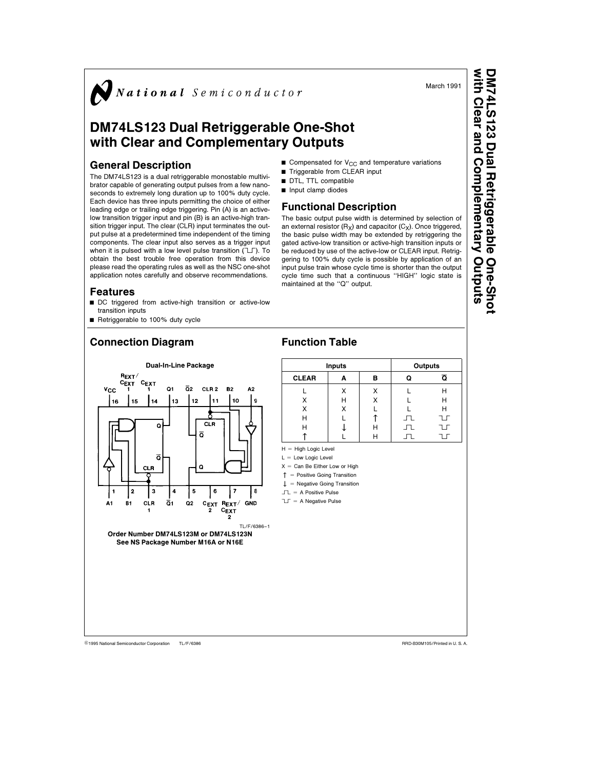National Semiconductor

# DM74LS123 Dual Retriggerable One-Shot with Clear and Complementary Outputs

#### General Description

The DM74LS123 is a dual retriggerable monostable multivibrator capable of generating output pulses from a few nanoseconds to extremely long duration up to 100% duty cycle. Each device has three inputs permitting the choice of either leading edge or trailing edge triggering. Pin (A) is an activelow transition trigger input and pin (B) is an active-high transition trigger input. The clear (CLR) input terminates the output pulse at a predetermined time independent of the timing components. The clear input also serves as a trigger input when it is pulsed with a low level pulse transition  $(T)$ . To obtain the best trouble free operation from this device please read the operating rules as well as the NSC one-shot application notes carefully and observe recommendations.

#### Features

- DC triggered from active-high transition or active-low transition inputs
- Retriggerable to 100% duty cycle

## Connection Diagram

- Gompensated for  $V_{CC}$  and temperature variations Triggerable from CLEAR input
- DTL, TTL compatible
- $\blacksquare$  Input clamp diodes
- 

### Functional Description

The basic output pulse width is determined by selection of an external resistor  $(R_X)$  and capacitor  $(C_X)$ . Once triggered, the basic pulse width may be extended by retriggering the gated active-low transition or active-high transition inputs or be reduced by use of the active-low or CLEAR input. Retriggering to 100% duty cycle is possible by application of an input pulse train whose cycle time is shorter than the output cycle time such that a continuous ''HIGH'' logic state is maintained at the ''Q'' output.



### Function Table

| <b>Inputs</b> |   |   | Outputs |    |  |
|---------------|---|---|---------|----|--|
| <b>CLEAR</b>  | А | в |         | ត  |  |
|               | x |   |         | Н  |  |
| x             | Н | x |         | н  |  |
| x             | Χ |   |         | Н  |  |
| Н             |   |   | 고       | חו |  |
| н             |   | н | ┚┖      | חו |  |
|               |   |   |         |    |  |

 $H = H$ igh Logic Level

 $L =$  Low Logic Level

 $X =$  Can Be Either Low or High

 $T =$  Positive Going Transition

 $\downarrow$  = Negative Going Transition  $\Box$  = A Positive Pulse

- $T = A$  Negative Pulse
- 

with Clear and Complementary Outputs DM74LS123 Dual RetriggerableOne-Shot One-Shot

March 1991

C1995 National Semiconductor Corporation TL/F/6386 **Case of Corporation Reserves** Corporation RRD-B30M105/Printed in U. S. A.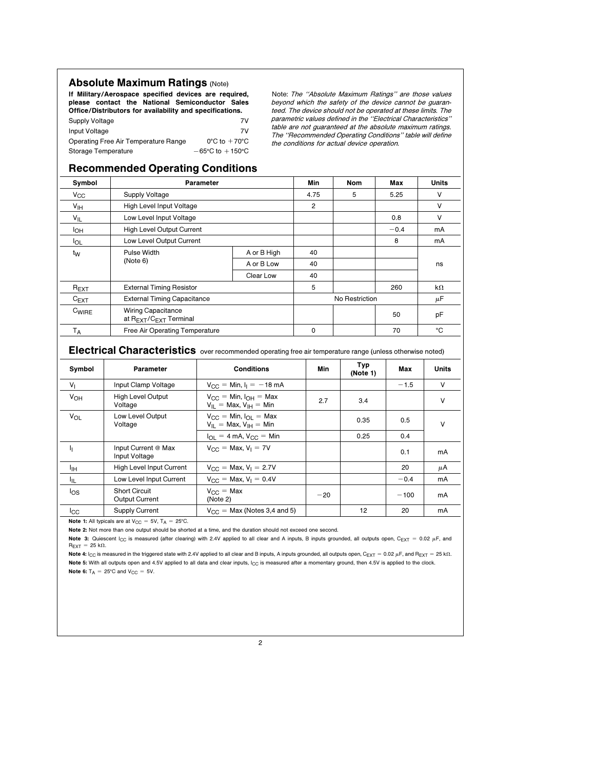#### **Absolute Maximum Ratings (Note)**

If Military/Aerospace specified devices are required, please contact the National Semiconductor Sales Office/Distributors for availability and specifications.

| Supply Voltage                       | 7V                                  |
|--------------------------------------|-------------------------------------|
| Input Voltage                        | 7V                                  |
| Operating Free Air Temperature Range | $0^{\circ}$ C to $+70^{\circ}$ C    |
| Storage Temperature                  | $-65^{\circ}$ C to $+150^{\circ}$ C |

Note: The ''Absolute Maximum Ratings'' are those values beyond which the safety of the device cannot be guaranteed. The device should not be operated at these limits. The parametric values defined in the ''Electrical Characteristics'' table are not guaranteed at the absolute maximum ratings. The ''Recommended Operating Conditions'' table will define the conditions for actual device operation.

#### Recommended Operating Conditions

| Symbol          | Parameter                                                                   |            | Min      | <b>Nom</b>     | Max    | Units     |
|-----------------|-----------------------------------------------------------------------------|------------|----------|----------------|--------|-----------|
| $V_{\rm CC}$    | <b>Supply Voltage</b>                                                       |            | 4.75     | 5              | 5.25   | v         |
| V <sub>IH</sub> | High Level Input Voltage                                                    |            | 2        |                |        | v         |
| $V_{IL}$        | Low Level Input Voltage                                                     |            |          |                | 0.8    | v         |
| I <sub>OH</sub> | High Level Output Current                                                   |            |          |                | $-0.4$ | mA        |
| <b>I</b> OL     | Low Level Output Current<br>Pulse Width<br>A or B High                      |            |          |                | 8      | mA        |
| t <sub>W</sub>  |                                                                             |            | 40       |                |        |           |
|                 | (Note 6)                                                                    | A or B Low | 40       |                |        | ns        |
|                 |                                                                             | Clear Low  | 40       |                |        |           |
| $R_{EXT}$       | <b>External Timing Resistor</b>                                             |            | 5        |                | 260    | $k\Omega$ |
| $C_{EXT}$       | <b>External Timing Capacitance</b>                                          |            |          | No Restriction |        | μF        |
| $C_{WIRE}$      | <b>Wiring Capacitance</b><br>at R <sub>EXT</sub> /C <sub>EXT</sub> Terminal |            |          |                | 50     | pF        |
| T <sub>A</sub>  | Free Air Operating Temperature                                              |            | $\Omega$ |                | 70     | °C        |

Electrical Characteristics over recommended operating free air temperature range (unless otherwise noted)

| Symbol                | Parameter                                     | <b>Conditions</b>                                                 | Min   | Typ<br>(Note 1) | Max    | Units |
|-----------------------|-----------------------------------------------|-------------------------------------------------------------------|-------|-----------------|--------|-------|
| V <sub>1</sub>        | Input Clamp Voltage                           | $V_{CC} =$ Min, $I_1 = -18$ mA                                    |       |                 | $-1.5$ | V     |
| <b>V<sub>OH</sub></b> | <b>High Level Output</b><br>Voltage           | $V_{CC}$ = Min, $I_{OH}$ = Max<br>$V_{II}$ = Max, $V_{IH}$ = Min  | 2.7   | 3.4             |        | V     |
| V <sub>OL</sub>       | Low Level Output<br>Voltage                   | $V_{CC} = Min$ , $I_{OL} = Max$<br>$V_{II}$ = Max, $V_{IH}$ = Min |       | 0.35            | 0.5    | V     |
|                       |                                               | $I_{\text{OL}} = 4 \text{ mA}$ , $V_{\text{CC}} = \text{Min}$     |       | 0.25            | 0.4    |       |
| ı,                    | Input Current @ Max<br>Input Voltage          | $V_{CC}$ = Max, $V_1$ = 7V                                        |       |                 | 0.1    | mA    |
| ŀщ                    | High Level Input Current                      | $V_{CC}$ = Max, $V_1$ = 2.7V                                      |       |                 | 20     | μA    |
| ŀμ                    | Low Level Input Current                       | $V_{CC}$ = Max, $V_1$ = 0.4V                                      |       |                 | $-0.4$ | mA    |
| $\log$                | <b>Short Circuit</b><br><b>Output Current</b> | $V_{C} = Max$<br>(Note 2)                                         | $-20$ |                 | $-100$ | mA    |
| $_{\rm{lcc}}$         | <b>Supply Current</b>                         | $V_{CC}$ = Max (Notes 3.4 and 5)                                  |       | 12              | 20     | mA    |

Note 1: All typicals are at  $V_{CC} = 5V$ ,  $T_A = 25^{\circ}$ C.

Note 2: Not more than one output should be shorted at a time, and the duration should not exceed one second.

Note 3: Quiescent I<sub>CC</sub> is measured (after clearing) with 2.4V applied to all clear and A inputs, B inputs grounded, all outputs open, C<sub>EXT</sub> = 0.02 µF, and  $R_{\text{EXT}} = 25 \text{ k}\Omega.$ 

Note 4: I<sub>CC</sub> is measured in the triggered state with 2.4V applied to all clear and B inputs, A inputs grounded, all outputs open, C<sub>EXT</sub> = 0.02  $\mu$ F, and R<sub>EXT</sub> = 25 k $\Omega$ . Note 5: With all outputs open and 4.5V applied to all data and clear inputs, I<sub>CC</sub> is measured after a momentary ground, then 4.5V is applied to the clock. Note 6:  $T_A = 25^{\circ}$ C and  $V_{CC} = 5V$ .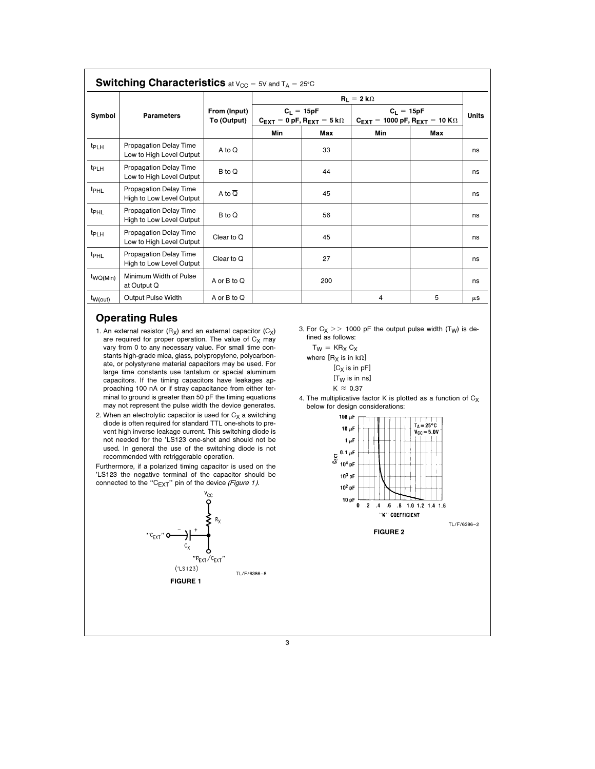| <b>Switching Characteristics</b> at $V_{CC} = 5V$ and $T_A = 25°C$ |                                                    |                             |                                                                          |     |                                                                                         |     |              |  |
|--------------------------------------------------------------------|----------------------------------------------------|-----------------------------|--------------------------------------------------------------------------|-----|-----------------------------------------------------------------------------------------|-----|--------------|--|
|                                                                    | <b>Parameters</b>                                  |                             | $R_1 = 2 k\Omega$                                                        |     |                                                                                         |     |              |  |
| Symbol                                                             |                                                    | From (Input)<br>To (Output) | $C_1 = 15pF$<br>$C_{\text{FXT}} = 0$ pF, $R_{\text{FXT}} = 5$ k $\Omega$ |     | $C_1 = 15pF$<br>$C_{\text{FXT}} = 1000 \text{ pF}, R_{\text{FXT}} = 10 \text{ K}\Omega$ |     | <b>Units</b> |  |
|                                                                    |                                                    |                             | Min                                                                      | Max | Min                                                                                     | Max |              |  |
| t <sub>PLH</sub>                                                   | Propagation Delay Time<br>Low to High Level Output | A to Q                      |                                                                          | 33  |                                                                                         |     | ns           |  |
| t <sub>PLH</sub>                                                   | Propagation Delay Time<br>Low to High Level Output | B to Q                      |                                                                          | 44  |                                                                                         |     | ns           |  |
| t <sub>PHL</sub>                                                   | Propagation Delay Time<br>High to Low Level Output | A to $\overline{Q}$         |                                                                          | 45  |                                                                                         |     | ns           |  |
| <sup>t</sup> PHL                                                   | Propagation Delay Time<br>High to Low Level Output | $B \circ \overline{O}$      |                                                                          | 56  |                                                                                         |     | ns           |  |
| t <sub>PLH</sub>                                                   | Propagation Delay Time<br>Low to High Level Output | Clear to $\overline{Q}$     |                                                                          | 45  |                                                                                         |     | ns           |  |
| t <sub>PHL</sub>                                                   | Propagation Delay Time<br>High to Low Level Output | Clear to $Q$                |                                                                          | 27  |                                                                                         |     | ns           |  |
| t <sub>WQ(Min)</sub>                                               | Minimum Width of Pulse<br>at Output Q              | A or B to Q                 |                                                                          | 200 |                                                                                         |     | ns           |  |
| $t_{W(out)}$                                                       | <b>Output Pulse Width</b>                          | A or $B$ to $Q$             |                                                                          |     | 4                                                                                       | 5   | $\mu$ S      |  |

### Operating Rules

- 1. An external resistor  $(R_X)$  and an external capacitor  $(C_X)$ are required for proper operation. The value of  $C_X$  may vary from 0 to any necessary value. For small time constants high-grade mica, glass, polypropylene, polycarbonate, or polystyrene material capacitors may be used. For large time constants use tantalum or special aluminum capacitors. If the timing capacitors have leakages approaching 100 nA or if stray capacitance from either terminal to ground is greater than 50 pF the timing equations may not represent the pulse width the device generates.
- 2. When an electrolytic capacitor is used for  $C_X$  a switching diode is often required for standard TTL one-shots to prevent high inverse leakage current. This switching diode is not needed for the 'LS123 one-shot and should not be used. In general the use of the switching diode is not recommended with retriggerable operation.

Furthermore, if a polarized timing capacitor is used on the 'LS123 the negative terminal of the capacitor should be connected to the "C $_{\text{EXT}}$ " pin of the device (Figure 1).



3. For  $C_X$  >> 1000 pF the output pulse width (T<sub>W</sub>) is defined as follows:

4. The multiplicative factor K is plotted as a function of  $C_X$ below for design considerations:

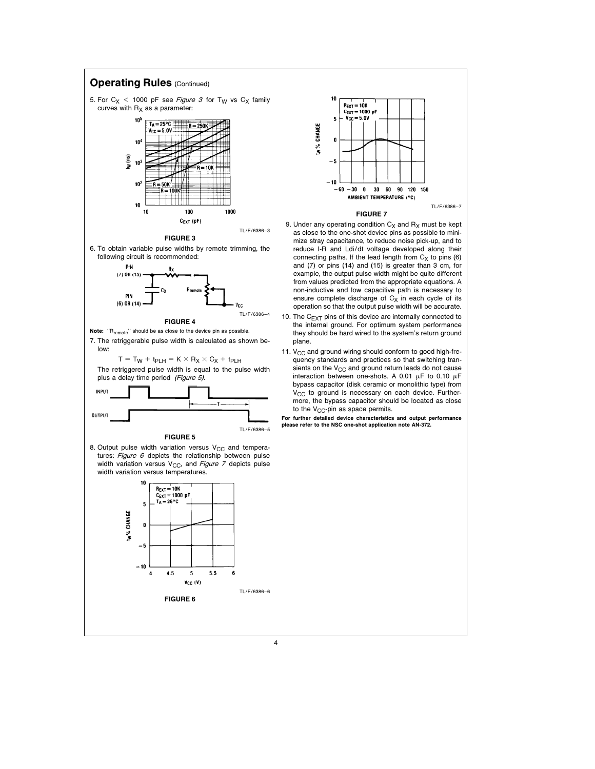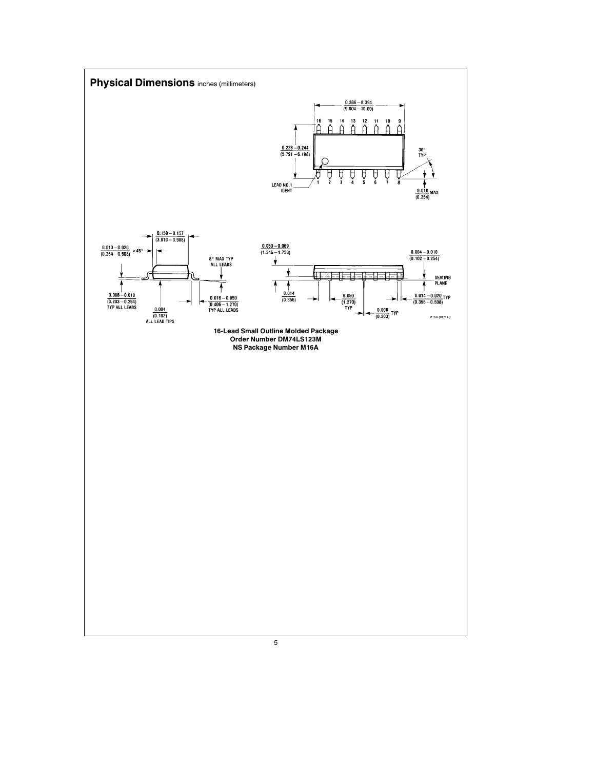